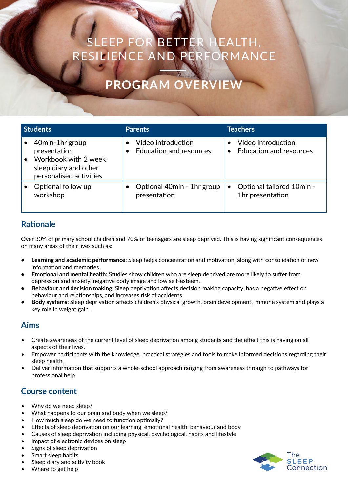# EEP FOR BETTER HEALTH, RESILIENCE AND PERFORMANCE

# **PROGRAM OVERVIE**

| <b>Students</b> |                                                                                                             | <b>Parents</b>                                       | <b>Teachers</b>                                      |
|-----------------|-------------------------------------------------------------------------------------------------------------|------------------------------------------------------|------------------------------------------------------|
|                 | 40min-1hr group<br>presentation<br>Workbook with 2 week<br>sleep diary and other<br>personalised activities | Video introduction<br><b>Education and resources</b> | Video introduction<br><b>Education and resources</b> |
|                 | Optional follow up<br>workshop                                                                              | Optional 40min - 1hr group<br>presentation           | Optional tailored 10min -<br>1hr presentation        |

### **Rationale**

Over 30% of primary school children and 70% of teenagers are sleep deprived. This is having significant consequences on many areas of their lives such as:

- **• Learning and academic performance:** Sleep helps concentration and motivation, along with consolidation of new information and memories.
- **• Emotional and mental health:** Studies show children who are sleep deprived are more likely to suffer from depression and anxiety, negative body image and low self-esteem.
- **• Behaviour and decision making:** Sleep deprivation affects decision making capacity, has a negative effect on behaviour and relationships, and increases risk of accidents.
- **• Body systems:** Sleep deprivation affects children's physical growth, brain development, immune system and plays a key role in weight gain.

## **Aims**

- Create awareness of the current level of sleep deprivation among students and the effect this is having on all aspects of their lives.
- Empower participants with the knowledge, practical strategies and tools to make informed decisions regarding their sleep health.
- Deliver information that supports a whole-school approach ranging from awareness through to pathways for professional help.

### **Course content**

- Why do we need sleep?
- What happens to our brain and body when we sleep?
- How much sleep do we need to function optimally?
- Effects of sleep deprivation on our learning, emotional health, behaviour and body
- Causes of sleep deprivation including physical, psychological, habits and lifestyle
- Impact of electronic devices on sleep
- Signs of sleep deprivation
- Smart sleep habits
- Sleep diary and activity book
- Where to get help